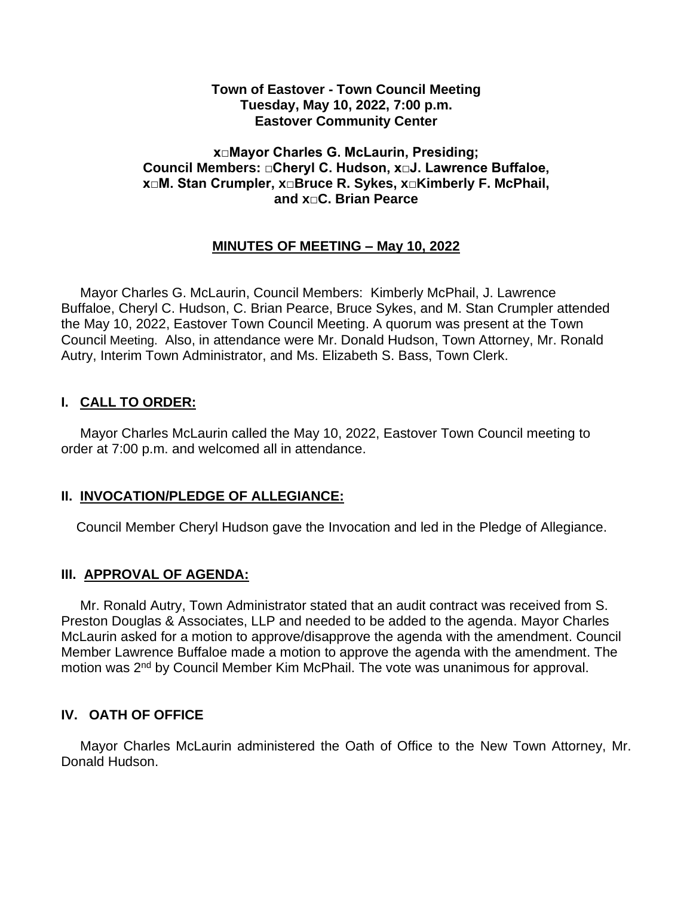#### **Town of Eastover - Town Council Meeting Tuesday, May 10, 2022, 7:00 p.m. Eastover Community Center**

#### **x□Mayor Charles G. McLaurin, Presiding; Council Members: □Cheryl C. Hudson, x□J. Lawrence Buffaloe, x□M. Stan Crumpler, x□Bruce R. Sykes, x□Kimberly F. McPhail, and x□C. Brian Pearce**

# **MINUTES OF MEETING – May 10, 2022**

 Mayor Charles G. McLaurin, Council Members: Kimberly McPhail, J. Lawrence Buffaloe, Cheryl C. Hudson, C. Brian Pearce, Bruce Sykes, and M. Stan Crumpler attended the May 10, 2022, Eastover Town Council Meeting. A quorum was present at the Town Council Meeting. Also, in attendance were Mr. Donald Hudson, Town Attorney, Mr. Ronald Autry, Interim Town Administrator, and Ms. Elizabeth S. Bass, Town Clerk.

### **I. CALL TO ORDER:**

 Mayor Charles McLaurin called the May 10, 2022, Eastover Town Council meeting to order at 7:00 p.m. and welcomed all in attendance.

### **II. INVOCATION/PLEDGE OF ALLEGIANCE:**

Council Member Cheryl Hudson gave the Invocation and led in the Pledge of Allegiance.

### **III. APPROVAL OF AGENDA:**

 Mr. Ronald Autry, Town Administrator stated that an audit contract was received from S. Preston Douglas & Associates, LLP and needed to be added to the agenda. Mayor Charles McLaurin asked for a motion to approve/disapprove the agenda with the amendment. Council Member Lawrence Buffaloe made a motion to approve the agenda with the amendment. The motion was 2nd by Council Member Kim McPhail. The vote was unanimous for approval.

### **IV. OATH OF OFFICE**

Mayor Charles McLaurin administered the Oath of Office to the New Town Attorney, Mr. Donald Hudson.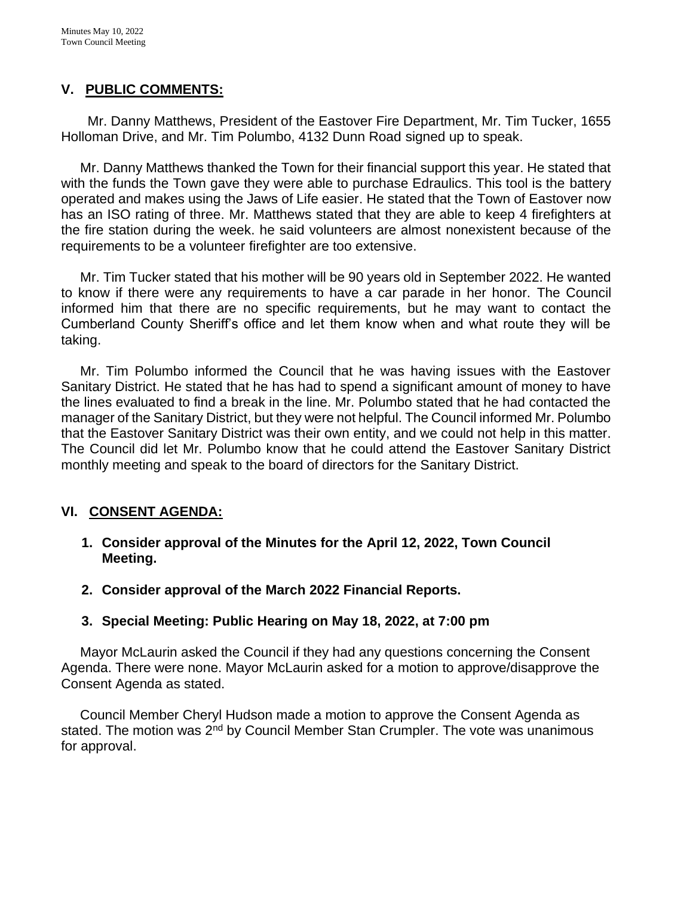### **V. PUBLIC COMMENTS:**

 Mr. Danny Matthews, President of the Eastover Fire Department, Mr. Tim Tucker, 1655 Holloman Drive, and Mr. Tim Polumbo, 4132 Dunn Road signed up to speak.

 Mr. Danny Matthews thanked the Town for their financial support this year. He stated that with the funds the Town gave they were able to purchase Edraulics. This tool is the battery operated and makes using the Jaws of Life easier. He stated that the Town of Eastover now has an ISO rating of three. Mr. Matthews stated that they are able to keep 4 firefighters at the fire station during the week. he said volunteers are almost nonexistent because of the requirements to be a volunteer firefighter are too extensive.

 Mr. Tim Tucker stated that his mother will be 90 years old in September 2022. He wanted to know if there were any requirements to have a car parade in her honor. The Council informed him that there are no specific requirements, but he may want to contact the Cumberland County Sheriff's office and let them know when and what route they will be taking.

 Mr. Tim Polumbo informed the Council that he was having issues with the Eastover Sanitary District. He stated that he has had to spend a significant amount of money to have the lines evaluated to find a break in the line. Mr. Polumbo stated that he had contacted the manager of the Sanitary District, but they were not helpful. The Council informed Mr. Polumbo that the Eastover Sanitary District was their own entity, and we could not help in this matter. The Council did let Mr. Polumbo know that he could attend the Eastover Sanitary District monthly meeting and speak to the board of directors for the Sanitary District.

# **VI. CONSENT AGENDA:**

- **1. Consider approval of the Minutes for the April 12, 2022, Town Council Meeting.**
- **2. Consider approval of the March 2022 Financial Reports.**

# **3. Special Meeting: Public Hearing on May 18, 2022, at 7:00 pm**

 Mayor McLaurin asked the Council if they had any questions concerning the Consent Agenda. There were none. Mayor McLaurin asked for a motion to approve/disapprove the Consent Agenda as stated.

 Council Member Cheryl Hudson made a motion to approve the Consent Agenda as stated. The motion was 2<sup>nd</sup> by Council Member Stan Crumpler. The vote was unanimous for approval.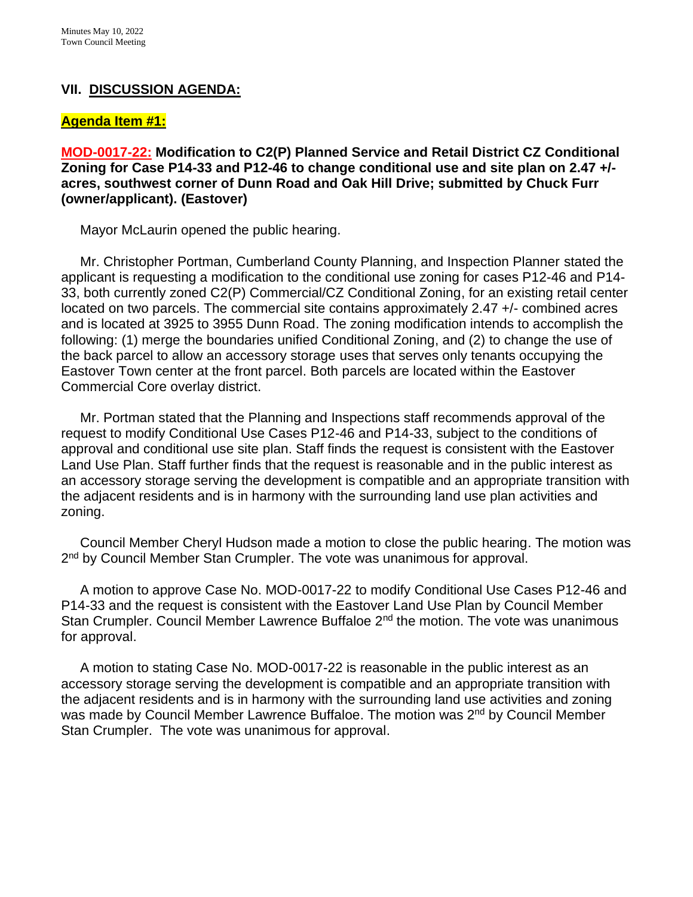### **VII. DISCUSSION AGENDA:**

#### **Agenda Item #1:**

**MOD-0017-22: Modification to C2(P) Planned Service and Retail District CZ Conditional Zoning for Case P14-33 and P12-46 to change conditional use and site plan on 2.47 +/ acres, southwest corner of Dunn Road and Oak Hill Drive; submitted by Chuck Furr (owner/applicant). (Eastover)**

Mayor McLaurin opened the public hearing.

Mr. Christopher Portman, Cumberland County Planning, and Inspection Planner stated the applicant is requesting a modification to the conditional use zoning for cases P12-46 and P14- 33, both currently zoned C2(P) Commercial/CZ Conditional Zoning, for an existing retail center located on two parcels. The commercial site contains approximately 2.47 +/- combined acres and is located at 3925 to 3955 Dunn Road. The zoning modification intends to accomplish the following: (1) merge the boundaries unified Conditional Zoning, and (2) to change the use of the back parcel to allow an accessory storage uses that serves only tenants occupying the Eastover Town center at the front parcel. Both parcels are located within the Eastover Commercial Core overlay district.

 Mr. Portman stated that the Planning and Inspections staff recommends approval of the request to modify Conditional Use Cases P12-46 and P14-33, subject to the conditions of approval and conditional use site plan. Staff finds the request is consistent with the Eastover Land Use Plan. Staff further finds that the request is reasonable and in the public interest as an accessory storage serving the development is compatible and an appropriate transition with the adjacent residents and is in harmony with the surrounding land use plan activities and zoning.

 Council Member Cheryl Hudson made a motion to close the public hearing. The motion was 2<sup>nd</sup> by Council Member Stan Crumpler. The vote was unanimous for approval.

 A motion to approve Case No. MOD-0017-22 to modify Conditional Use Cases P12-46 and P14-33 and the request is consistent with the Eastover Land Use Plan by Council Member Stan Crumpler. Council Member Lawrence Buffaloe 2<sup>nd</sup> the motion. The vote was unanimous for approval.

 A motion to stating Case No. MOD-0017-22 is reasonable in the public interest as an accessory storage serving the development is compatible and an appropriate transition with the adjacent residents and is in harmony with the surrounding land use activities and zoning was made by Council Member Lawrence Buffaloe. The motion was 2<sup>nd</sup> by Council Member Stan Crumpler. The vote was unanimous for approval.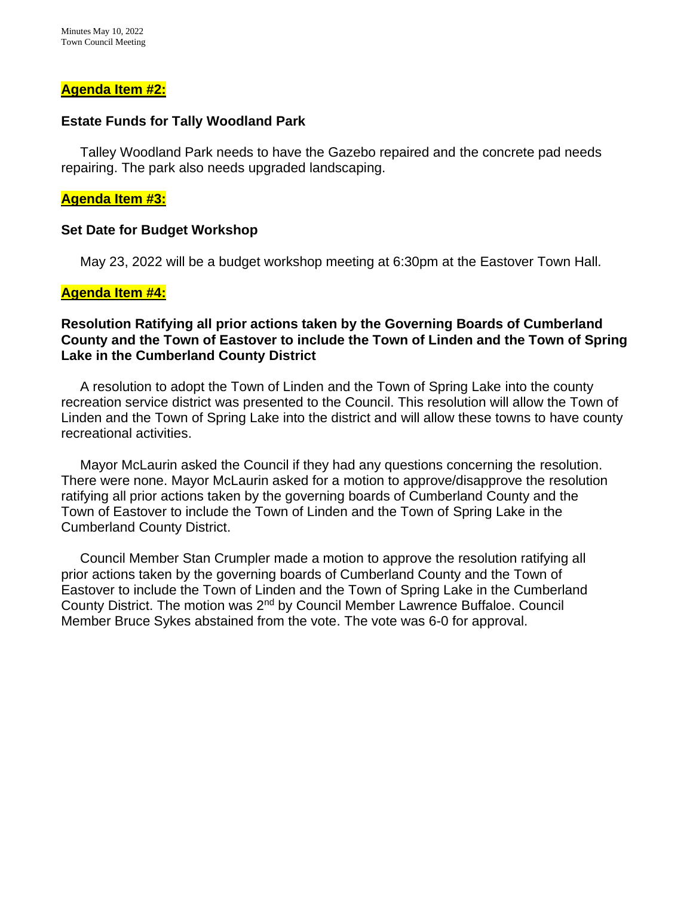#### **Agenda Item #2:**

#### **Estate Funds for Tally Woodland Park**

Talley Woodland Park needs to have the Gazebo repaired and the concrete pad needs repairing. The park also needs upgraded landscaping.

#### **Agenda Item #3:**

#### **Set Date for Budget Workshop**

May 23, 2022 will be a budget workshop meeting at 6:30pm at the Eastover Town Hall.

### **Agenda Item #4:**

### **Resolution Ratifying all prior actions taken by the Governing Boards of Cumberland County and the Town of Eastover to include the Town of Linden and the Town of Spring Lake in the Cumberland County District**

A resolution to adopt the Town of Linden and the Town of Spring Lake into the county recreation service district was presented to the Council. This resolution will allow the Town of Linden and the Town of Spring Lake into the district and will allow these towns to have county recreational activities.

 Mayor McLaurin asked the Council if they had any questions concerning the resolution. There were none. Mayor McLaurin asked for a motion to approve/disapprove the resolution ratifying all prior actions taken by the governing boards of Cumberland County and the Town of Eastover to include the Town of Linden and the Town of Spring Lake in the Cumberland County District.

 Council Member Stan Crumpler made a motion to approve the resolution ratifying all prior actions taken by the governing boards of Cumberland County and the Town of Eastover to include the Town of Linden and the Town of Spring Lake in the Cumberland County District. The motion was 2nd by Council Member Lawrence Buffaloe. Council Member Bruce Sykes abstained from the vote. The vote was 6-0 for approval.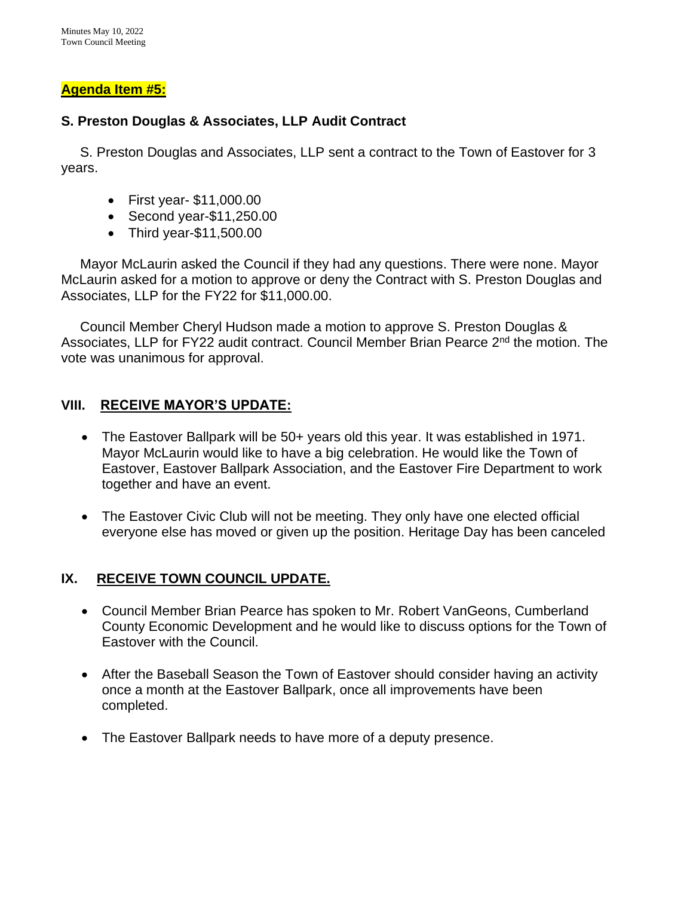### **Agenda Item #5:**

### **S. Preston Douglas & Associates, LLP Audit Contract**

 S. Preston Douglas and Associates, LLP sent a contract to the Town of Eastover for 3 years.

- First year- \$11,000.00
- Second year-\$11,250.00
- Third year-\$11,500.00

 Mayor McLaurin asked the Council if they had any questions. There were none. Mayor McLaurin asked for a motion to approve or deny the Contract with S. Preston Douglas and Associates, LLP for the FY22 for \$11,000.00.

 Council Member Cheryl Hudson made a motion to approve S. Preston Douglas & Associates, LLP for FY22 audit contract. Council Member Brian Pearce 2<sup>nd</sup> the motion. The vote was unanimous for approval.

# **VIII. RECEIVE MAYOR'S UPDATE:**

- The Eastover Ballpark will be 50+ years old this year. It was established in 1971. Mayor McLaurin would like to have a big celebration. He would like the Town of Eastover, Eastover Ballpark Association, and the Eastover Fire Department to work together and have an event.
- The Eastover Civic Club will not be meeting. They only have one elected official everyone else has moved or given up the position. Heritage Day has been canceled

# **IX. RECEIVE TOWN COUNCIL UPDATE.**

- Council Member Brian Pearce has spoken to Mr. Robert VanGeons, Cumberland County Economic Development and he would like to discuss options for the Town of Eastover with the Council.
- After the Baseball Season the Town of Eastover should consider having an activity once a month at the Eastover Ballpark, once all improvements have been completed.
- The Eastover Ballpark needs to have more of a deputy presence.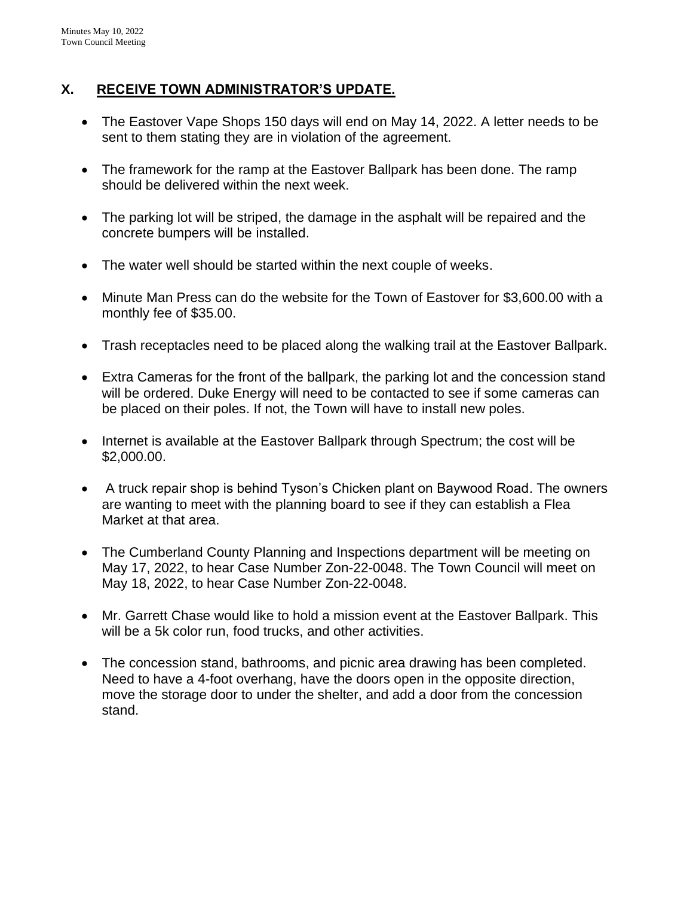### **X. RECEIVE TOWN ADMINISTRATOR'S UPDATE.**

- The Eastover Vape Shops 150 days will end on May 14, 2022. A letter needs to be sent to them stating they are in violation of the agreement.
- The framework for the ramp at the Eastover Ballpark has been done. The ramp should be delivered within the next week.
- The parking lot will be striped, the damage in the asphalt will be repaired and the concrete bumpers will be installed.
- The water well should be started within the next couple of weeks.
- Minute Man Press can do the website for the Town of Eastover for \$3,600.00 with a monthly fee of \$35.00.
- Trash receptacles need to be placed along the walking trail at the Eastover Ballpark.
- Extra Cameras for the front of the ballpark, the parking lot and the concession stand will be ordered. Duke Energy will need to be contacted to see if some cameras can be placed on their poles. If not, the Town will have to install new poles.
- Internet is available at the Eastover Ballpark through Spectrum; the cost will be \$2,000.00.
- A truck repair shop is behind Tyson's Chicken plant on Baywood Road. The owners are wanting to meet with the planning board to see if they can establish a Flea Market at that area.
- The Cumberland County Planning and Inspections department will be meeting on May 17, 2022, to hear Case Number Zon-22-0048. The Town Council will meet on May 18, 2022, to hear Case Number Zon-22-0048.
- Mr. Garrett Chase would like to hold a mission event at the Eastover Ballpark. This will be a 5k color run, food trucks, and other activities.
- The concession stand, bathrooms, and picnic area drawing has been completed. Need to have a 4-foot overhang, have the doors open in the opposite direction, move the storage door to under the shelter, and add a door from the concession stand.